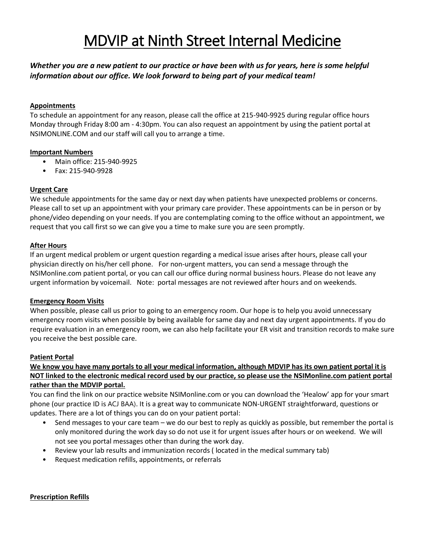# MDVIP at Ninth Street Internal Medicine

## *Whether you are a new patient to our practice or have been with us for years, here is some helpful information about our office. We look forward to being part of your medical team!*

## **Appointments**

To schedule an appointment for any reason, please call the office at 215-940-9925 during regular office hours Monday through Friday 8:00 am - 4:30pm. You can also request an appointment by using the patient portal at NSIMONLINE.COM and our staff will call you to arrange a time.

## **Important Numbers**

- Main office: 215-940-9925
- Fax: 215-940-9928

## **Urgent Care**

We schedule appointments for the same day or next day when patients have unexpected problems or concerns. Please call to set up an appointment with your primary care provider. These appointments can be in person or by phone/video depending on your needs. If you are contemplating coming to the office without an appointment, we request that you call first so we can give you a time to make sure you are seen promptly.

## **After Hours**

If an urgent medical problem or urgent question regarding a medical issue arises after hours, please call your physician directly on his/her cell phone. For non-urgent matters, you can send a message through the NSIMonline.com patient portal, or you can call our office during normal business hours. Please do not leave any urgent information by voicemail. Note: portal messages are not reviewed after hours and on weekends.

#### **Emergency Room Visits**

When possible, please call us prior to going to an emergency room. Our hope is to help you avoid unnecessary emergency room visits when possible by being available for same day and next day urgent appointments. If you do require evaluation in an emergency room, we can also help facilitate your ER visit and transition records to make sure you receive the best possible care.

#### **Patient Portal**

## **We know you have many portals to all your medical information, although MDVIP has its own patient portal it is NOT linked to the electronic medical record used by our practice, so please use the NSIMonline.com patient portal rather than the MDVIP portal.**

You can find the link on our practice website NSIMonline.com or you can download the 'Healow' app for your smart phone (our practice ID is ACJ BAA). It is a great way to communicate NON-URGENT straightforward, questions or updates. There are a lot of things you can do on your patient portal:

- Send messages to your care team we do our best to reply as quickly as possible, but remember the portal is only monitored during the work day so do not use it for urgent issues after hours or on weekend. We will not see you portal messages other than during the work day.
- Review your lab results and immunization records ( located in the medical summary tab)
- Request medication refills, appointments, or referrals

#### **Prescription Refills**